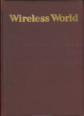# Wireless World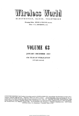## Wireless World

ELECTRONICS, RADIO, TELEVISION ELECTRONICS, RADIO, TELEVISION

*Managing Editor:* HUGH S. POCOCK, M.I.E.E. Managing Editor: HUGH S. POCOCK, m.i.e.b. *Editor :* F. L. DEVEREUX, B.sc. Editor: F. L. DEVEREUX, B.sc.

## **VOLUME 63**  VOIUME 68

## JANUARY- DECEMBER 1957 JANUARY - DECEMBER 1957

*47th YEAR OF PUBLICATION*  th YEAR OF PUBLICATION

*(All rights reserved)*  (All rights reserved)

FUBLISHED MONTHLY (4th Tuesday of preceding month) by ILIFFE & SONS I.TD., Dorset House, Stamford Street, London, S.E.1. Telephone: Waterloo 8383 (60 lines). Telegrams: "Ethaworld, Sedist, London." Annual Subscription: Home and Overseas, 21 15s, 0d. Canada and U.S.A. \$5.00. Second-class mail privileges authorised at New York. N.Y. BRANCH OFFICES: BIRMINGHAM: King Edward House, New Street, 2. Telephone: Midland 7191. COVENTRY: 8-10, Corporation Street. Telephone: Coventry 5210, GLASGOW: 26B Renfield Street, C.2. Telephone: Central 1265. MANCHESTER: 260, Deansgate, 3. Telephone: Blackfriars 4412. NEW YORK OFFICEa *U.S.A.:* Ill, Broadway, 6 *Telephone:* Digby 9-1197 OFFICEi U.S.A.: Ill, Broadway, <sup>6</sup> Telephone: Digby 9-1197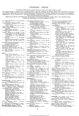## **GENERAL INDEX**  GENERAL INDEX

To facilitate reference, the month of issue as welL as the page number is given. To facilitate reference, the month of issue as well as the page number is given.

<sub>The</sub> General Index is followed by a classified Index under the headings of Aerials, Books and Publications, Circuitry,<br><sub>Comp</sub>onents, Design, Education and Training, Electronics, Manufacturers' Products, Organization, Pers Radiolocation, Sound Reproduction, Technical Notebook, Television, Test and Measurement, Transmission and Communications, and Valves and Semiconductors. tions, and Valves and Semiconductors.

References to Books and Publications. Personalities and Technical Notebook appear only in the Classified Index. References to Books and Publications<sup>s</sup> Personalities and Technical Notebook appear only in the Classified Index. · Indexes to illustrations and Authors appear on p. 10. Indexes to illustrations and Authors appear on p. 10.

- 
- $\textsf{A.C.}$  Supply Stabilization, O. E. Dzierzynski, A.C. Supply Stabilization, O. E. Dzierzynski,<br>
Acrial, Band-III Parabolic, 139 Mar.<br>
— Propagation Mismatch, R. J. Hitch-<br>
— Cock, 599 Dec.<br>
— Cock, 599 Dec.<br>
— "Unex " Band I Television, 281 June<br>
Aerials, Whip, 139 Mar.<br>
- Acrial, Band-III Parabolic, 139 Mar.<br>—— Propagation Mismatch, R. J. Hitch-<br>cock, 599 Dec.<br>——, "Unex" Band I Television, 281 June<br>Airiborne Doppler Navigation, G. E. Beck,
- 
- 
- 
- 225 May<br>----Weather Radar, 227 May<br>Alternative Colour TV System, E. J. Gargini,<br>361 Aug.<br>Amplifier, Design for a 50-watt, W. Ian
- Heath and G. R. Woodville, 158 Apr.;<br>
Pre-amplifier, W. Ian Heath and<br>
D. M. Leakey, 314 July; (Correction)<br>
430 Sept.<br>
--, 400-watt Audio, G. R. Woodville,<br>
543 Nov. \_ Weather Radar, <sup>227</sup> May alternative Colour TV System, E. J. Gargini, <sup>361</sup> Aug. Amplifier, Design for <sup>a</sup> 50-watt, W. Ian Heath and G. R. Woodville, <sup>158</sup> Apr.; Pre-amplifler, W, Tan Heath and D. M. Leakey, <sup>314</sup> July; {Correction) <sup>430</sup> Sept,
- Inexpensive High-Quality, P. J. Baxan-<br>dall, 108 Mar., 168 Apr.; (Letter) 177 , 400-watt Audio, G. R, Woodville, <sup>543</sup> Nov.
- dall, 108 Mar., 168 Apr.; (Letter) 177<br>Apr. Output Transformerless, 58 Feb.;<br>Correction (News) 106 Mar. ----, Inexpensive High-Quality, P. J. Baxan-<br>dall, 108 Mar., 168 Apr.; (Letter) 177<br>Amplifiers, Output Transformerless, 58 Feb.;<br>Correction (News) 106 Mar.
- 
- 
- 
- 
- 
- ----, Quantum, 212 May<br>Artificial Earth Satellites, 574 Dec.<br>Asdic, Fish-Finding, 36 Jan.<br>Atmospheric, Audio-frequency, 486 Oct.<br>Attenuators, V.H.F. Variable, B. G. Martin-<br>dill, 181 Apr.<br>Automatic Component Assembly, K. M

**B.B.C.**<br>
Band V Tests, 566 Dec.<br>
Colour Tests, Second Series (News)<br>
567 Dec. F.M. Transmitter Performance, 69

Feb.

- 
- Facts and Figures, 62 Feb.<br>Holme Moss V.H.F. Station Opened<br>(*News*) 6 Jan.<br>Research Scholarships (*News*) 568
- Dec.
- Schools Television Begins (News) 462
- 
- 
- Oct. F. Stations (News) 54 Feb.;<br>
Correction (News) 106 Mar.<br>
Band V Tests, 566 Dec.<br>
Bi-Directional F.M. Aerials, H. B. Dent,<br>
Bi-Directional F.M. Aerials, H. B. Dent,<br>
Blocking Oscillator, "Cathode Ray," 285<br>
June
- Bridge, Component Testing, C. D. Lindsay, 549 Nov. Brit.I.R.E. Convention on Automation,
- 
- 355Aug. Broadcasting, High-Quality Sound on V.H.F., G. H. Russell, 31 Jan.; (Letter) 177 Apr. 4. Quantum, 212 May<br>
Artificial Earth Satellites, 574 Dec.<br>
Aside, Fish-Finding, 36 Jan.<br>
Atmospheric, Audio-frequency, 486 Oct.<br>
Attenuators, V.H.F. Variable, B. G. Martin-<br>
dill, 181 Apr.<br>
Automatic Component Assembly,
- 
- **CALCULATOR, "**Nearest Approach," A. L. P. Milwright, 475 Oct.<br>Calibrated D.C. Oscilloscope, B. Pearce, 539
- 
- 
- 
- 
- Calibrated D.C. Oscilloscope, B. Pearce, 539<br>Can We Help? (*Editorial*) 303 July<br>Cascode Characteristics, W. Grant, 33 Jan.<br>Cathode Follower Circuits, Multi-Valve,<br>Cathode Follower Circuits, Multi-Valve,<br>"CATHODE RAY" ARTI Potential, 393 Aug.<br>Scientific Theories, 503 Oct.<br>Series or Parallel? 133 Mar. **CALCULATOR,** "Nearest Approach," A.<br>
L.P. Milwight, 475 Oct.<br>
L.P. Milwight, 475 Oct.<br>
Nov.<br>
Nov. Head D.C. Oscilloscope, B. Pearce, 539<br>
Can We Help? (*Editorial*) 303 July<br>
Cascode Characteristics, W. Grant, 33 Jan.<br>
C
	-
	- Superconductivity, 326 July<br>Time Constants, 218 May<br>Transistor Graphical Symbols, 194
	-
- 
- Apr. (Choke or Capacitor Input? "Cathode Ray," 589 Dec.<br>
Choosing Radar Wavelengths, R. F. Hans-<br>
ford and R. T. H. Collis, 188 Apr.<br>
Chromium Nitride Resistors, 96 Feb.<br>
Clyde Ship-to-Shore Telephone, 255 June
- Colour Fiasco (*Editorial*), 203 May<br>—— Information, N.T.S.C., E. L. C. White, 75 Feb.; (*Letters*) 118 Mar.
- 
- 
- Colour Fiasco (Editorial), 203 May --Information, N.T.S.C., E. L. C. White, 75 Feb.; (Letters) 118 Mar. --, Sequential, Again, 426 Sept. -- TV in the Doldrums, 205 May ------U.S.A., 0. G. Mayer 325 July; (Letters) 347 July, 372 Aug. ----,RCA and, (News) 256 June ----on Tape, H. R. L. Lamont, 183 —, Sequential, Again, 426 Sept.<br>
— TV in the Doldrums, 205 May<br>
(*Letters*) 347 July, 372 Aug.<br>
——, RCA and, (*News*) 256 June<br>
——, RCA and, (*News*) 256 June<br>
—— on Tape, H. R. L. Lamont, 183<br>
Apr.
- 
- Apr.<br>System, Alternative, E. J. Gargini, 361 Aug. -System, Antenative, 20. Gargini, 361 Aug.<br>Television Pitfalls (Editorial) 101 Mar.;
- tLetter) 233 May ----· Servicing in U.S.A., Jack Darr,
- 385 Aug. ----,Tubeless? 2 Jan. --Tube, Single-beam, 2 Jan. • System. Alternative, E. J. Gargini,<br>
• Television Pitfalls (*Editorial*) 101 Mar.;<br>
<u>(Letter) 233 May</u><br>
• Servicing in U.S.A., Jack Darr,<br>
<u>385</u> Aug.<br>
<u>Tubeless?</u> 2 Jan.
- 
- Communication by Induction  $(Edition)$  515
- Communications Receiver, Unconventional, Communications Receiver, Chronications, 388 Aug.<br>
Component Assembly, Automatic, K. M.<br>
McKee, 63 Feb.
- Developments, G. W. A. Dummer, 482
- Oct.
- --Testing Bridge, C. D. Lindsay, 549 Nov. Components Symposium at Malvern, 516 Nov. — Tube, Single-beam,  $2$  Jan.<br>Communication by Induction (*Editorial*) 515<br>Communication by Induction (*Editorial*) 515<br>Communications Receiver, Unconventional,<br>Component Assembly, Automatic, K. M.<br>The McKee, 63 Feb.<br>— De
- 
- 
- Copyright Anomaly (Editorial) 403 Sept.
- 
- **D.C.** Null Detector, Sensitive, Francis Oakes<br>
and E. W. Lawson, 597 Dec.<br>
—— Oscilloscope, *C*alibrated, B. Pearce,<br>
539 Nov.
- 
- Dawn Chorus, 486 Oct.<br>Decibel Circular Slide Rule, 392 Aug*.*<br>Design for a 50-watt Amplifier, W. Ian Heath
- and G. R. Woodville, 158 Apr.<br>Diode A.M. Detector Circuits, 392 Aug.<br>Direction Finder, Automatically Tuned, 113
- 
- 
- Mar. Marchman<br>Discriminator Bandwidth, F.M., G. J.<br>Discriminators and Limiters for F.M.<br>Discriminators and Limiters for F.M.<br>Receivers, G. G. Johnstone, 8 Jan.,<br>70 Feb., 124 Mar; (Letter) 177 Apr.,<br>235 May, 275 June, 378 A
- 
- Lazenby, 435 Sep<sup>t</sup>. Doppler Navaid for Civil Aircmft, 396 Aug. --Navigation, Airborne, G. E. Beck, 225 May Drilled-Ferrite Switching Circuit., 3 Jan .
- 
- -
- **EDITORIALS:**<br>Can We Help? 303 July<br>Colour Fiasco, 203 May<br>Communication Pitfalls, 101 Mar.<br>Communication by Induction, 515

Nov. How Constant 1988<br>Copyright Anomaly, 403 Sept.<br>Editorship of Wireless World, 203 May<br>Electronics on Show, 303 July<br>Electronics Up to Date, 151 Apr.<br>Endurance Test, 353 Aug.<br>European Radio Industry, 403 Sept.<br>Guarantee Information Theory and Broadcasting, 1 Jan. Off the Record, 253 June Pioneer Experiment, 565 Dec. Radio Milestones, 51 Feb. Truer Than the Truth, 151 Apr. Twenty-one Years, 565 Dec. Valves in the Limelight, 101 Mar. **D.C.** Null Detector, Sensitive, Francis Oakes<br>  $\frac{1}{2}$ . Null Detector, Sensitive, Francis Oakes<br>  $\frac{1}{2}$ . Oscilloscope, Calibrated, B. Pearce,<br>
Dawn Chorus, 486 Oct.<br>
Decibel Circular Side Rule, 392 Aug.<br>
Decibel Cir

- 
- Electroluminescence, D. W. G. Ballentyne, 128 Mar.
- Electronic Fruit Machine, G. L. Swaffield,<br>--- Aeading, 173 Apr.<br>---- Reading, 173 Apr.<br>---- Telephone Exchange, 490 Oct.
	- - **3**  3

<www.americanradiohistory.com>

- 
- Electronics on Show (*Editorial*) 303 July -- Up to Date (*Editorial*) 353 Aug.<br>Endurance Test (*Editorial*) 353 Aug.<br>European Radio Industry (*Editorial*) 10:3<br>Sept. EXHIBITIONS:

- Autumn Audio Fair at Harrogate<br>B.S.R.A. Exhibition—List of Ex-<br>B.S.R.A. Exhibition—List of Ex-<br>hibitors (*News*) 407 Sept.; Review<br>537 Nov.
	-
	-
	-
- Farnborough Air Show, 460 Oct.<br>
French Air Show, 368 Aug.<br>
French Air Show, 368 Aug.<br>
French Components Show, 204 May<br>
French Components Show, 204 May<br>  $403$  Sept.; Review 404 Sept.<br>
1.E.A. Show, List of Exhibitors, 234<br>
M Electronics on Show (Editorial) 303 July<br>
— Up to Date (Editorial) 353 Aug.<br>
Emdurance Test (Editorial) 353 Aug.<br>
European Radio Industry (Editorial) 403<br>
EUROPEAN Attunn Audio Fair at Harrogate<br>
AKHIBITIONS:<br>
AKHIBITIONS
	-
	-
	-
	- <sup>321</sup>July R.E.C.M.F. Components Show, List of
- Exhibitors, 198 Apr., Reviews 267,<br>282, 283 June, 321 July<br>Radio Hobbies Show; (News) 518 Nov.<br>Television Society, 152 Apr.<br>Tere Moyements, Plotting, 246 May
	-

 Transmitter Performance, B.B.C., 69 Feb.<br>Ferrite Switching Circuit, 3 Jan.<br>Ferrites for F.M., T. W. G. Calvert, 505 Oct.

Fish-Finding Asdic, 36 Jan.<br>400-watt Audio Amplifier, G. R. Woodville, 543 Nov.<br>Frame Pulse Separator, H. D. Kitchin, 554<br>Fruit Machine, Electronic, G. L. Swaffield<br>Truit Machine, Electronic, G. L. Swaffield

GATED-BEAM Valve, Lawrence W.<br>
Johnson, 23 Jan.<br>
Geophysical Year, International (*Editorial*), 353 Aug.; U.K. Contribution, 193 Apr.<br>
Gramophone Conference, 297 June; (*Letter*)<br>
347 July

--Reproduction, Limiting Factors, D. A. Barlow, 228 May, 290 June; (Letters) 371 Aug., 429 Sept. --Turntable, Four-speed, 559 Nov. " Grid-Diode" Saw-Tooth Generator, T ·A. Mendes, 603 Dec. Grid-Dip Oscillator, H. B. Den<sup>t</sup> , 121 Mar. Guarantees and Goodwill (Editorial) 51 Feb.; (Letter) 120 Mar. Gyrator, Thomas Roddam, 423 Sept., 497 Oct.

**HEARING** and Seeing, Colin Cherry, 164 Apr.; (*Editorial*) 151 Apr.<br>High Definition on 405 Lines, 254 June<br>High-Power Transistor Audio Amplifiers,

High-Power Transistor Audio Amplifiers,<br>
Eg Feb. 50<br>
High-Quality Sound Broadcasting, G. H.<br>
Russell, 31 Jan.; (Letter) 177 Apr.<br>
High-Remanence Tape, 46 Jan.<br>
Historic Hearing Aid, 496 Oct.<br>
Horizontal versus Vertical Res

ć,

378 Aug.

447 Sept.

--

<sup>F</sup>.M. Aerials, Bi-Directional, H. B. Dent, 534 Nov. - Discriminator Bandwidth, G. J. Phillips, Discriminator Bandwidth, G. J. Phillips,<br>571 Dec. - Limiters and Discriminators, G. G.<br>Johnstone, 8 Jan., 70 Feb., 124 Mar.,<br>(Letter) 177 Apr., 235 May, 275 June, F.M. Aerials, Bi-Directional, H. B. Dent,<br>
— Discriminator Bandwidth, G. J. Phillips,<br>
574 Nov.<br>
571 Dec.<br>
1671 Denton Bandwidth, G. J. Phillips,<br>
— Limiters and Discriminators, G. G.<br>
1676 Aug.<br>
177 Apr., 235 May, 275 Ju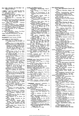- How Little Distortion Can We Hear? M.<br>Lazenby, 435 Sept.
- " **IDEAL"** Receiver? (Editorial) 459 Oct. " **IDEAL** " Receiver? (*Editorial*) 459 Oct.<br>Improved Sync Separator, Michael P.<br>Induction Heater, 533 Nov. \_ \_ \_ \_ \_ \_ \_ \_ \_ \_ \_
- Improved Sync Separator, Michael P.<br>
Induction Heater, 533 Nov.<br>
Inexpensive High-Quality Amplifier, P. J.<br>
Baxandall, 108 Mar., 168 Apr.;<br>
CLetter) 177 Apr.<br>
 Pre-Amplifier, P. J. Baxandall, 209
- 
- Inexpensive High-Quality Amplifier, P. J. Baxandall, 108 Mar., 168 Apr.; (Letter) 177 Apr.<br>
 Pre-Amplifier, P. J. Baxandall, 209 May<br>
 Pre-Amplifier, P. J. Baxandall, 209 May<br>
Information Engineering (Editorial), 253 Jun
- 
- 
- 
- 
- 
- Information Engineering (Editorial), 253 June<br>
 Theory and Broadcasting (Editorial)<br>
I Jan.; (Letters) 119 Mar.<br>
Input, Ghoke or Gapacitor? "Cathode<br>
Ray," 589 Dec.<br>
International Geophysical Year, (Editorial),<br>
Early Bes

**JOBS** for Computers, More, 485 Oct. JOBS for Computers, More, 485 Oct.

**KILOWATT** Audio System, 132 Mar. KILOWATT Audio System, 132 Mar.

- **LETTERS** TO THE EDITOR:<br>Audio Fair, D. J. Kidd, 273 June<br>—— Output Power, W. E. Dean, 177
- Apr.<br>Cleaning a File, R. F. Eagle, 430 Sept.<br>Colour Television, K. R. McAlister, G.<br>Levine, D. A. Bell, 118 Mar.; D. W.<br>Heightman, 233 May; Sidney Gould,<br>347 July; E. W. Elliot, 430 Sept.,<br>Charles J. Hirsch, 487 Oct.<br>Arria LETTRE TO THE EDIT ONE. Deal and Fig. 1, F. Eagle, 433 May, 1770 Calculum is a Fig. B. F. Eagle, 433 State, C. Levine, D. A. Bell, 118 Mar.; D. A. H. Bell, 118 Mar.; D. W. Charles May, 1971 and State C. Theorem and State
	-
	-
	-
	-
	-
	-
	-
	-
	- Sept. 16. However, 178 Apr. 16. Homonstrations, Audio, W. J. Cluff, 30 Jan.; E. Glover, 178 Apr.<br>Disc Replay Equalizers, W. H. Livy, J. D. Smith, 29 Jan.<br>Disc Replay Equalizers, W. H. Livy, J. D. Smith, 29 Jan.<br>Distortion,
	- Interference, Beat, N. F. Sheppard,<br>– 178 Apr.; W. E. Thompson, 233 May<br>Line Scan Ringing, K. E. Martin, 593

Dec.<br>Limiters and Discriminators for F.M. Limiters and Discriminators for F.M.<br>Receivers, I. B. Arguimbau, 177 Apr.<br>Loudspeakers in Parallel, G. A. Briggs,<br>M. H. Barzilay, 592 Dec.<br>Mobile Radio 25-kc/s Channelling<br>Trials, J. R. Humphreys, 372 Aug.<br>"Off the Record,

- 
- 
- 
- Sept.<br>---- Quality, E. W. Elliot, 430 Sept.<br>---- Resolution, I. G. Abelson, 430
- Sept. Projection Television, 0. V. Wadden, 430 Sept.; A. G. Tucker, 487 Oct.; 0 . V. Wadden, "Angstrom Unit", 592 Dec. Quam Ridiculum Hoc Est, W. Clarke
- 
- Riddiford, 273 June Radar Displays, K. E. Harris, 120 Mar.
- Receiver Design, Economy in, Ian<br>
Leslie, 82 Feb.<br>
Scale Distortion, Stanley May,<br>
M.G.L., 30 Jan.; Percy Wilson,<br>
118 Mar.; Alan Douglas, 178 Apr.<br>
Services Charges, Maurice Sokel, 372
- 
- Aug. Short-circuited Turn, Thomas Rod-
- dam, 274 June Spare Parts, "Technician", 81 Feb.
- Letters to the Editor (contd.) Stereophonic Broadcasting, H.A.V., <sup>177</sup>Apr. Supply Voltage, A. R. Turpin, <sup>82</sup>
	- Supply<sup>-</sup><br>Feb.
		- Symbols and Nomenclature, B. M. Hardisty, John R. Greenwood, 273 June
		-
		- Tape Amplifier Design, Arieh F. Fischmann, 81 Feb. Television Coverage, T. Payne, 273 June; D. C. Bond, 347 July --Interference, L. W. Turner, 119
		-
		-
		-
		- Mar.<br>Transformer Turns Ratio, John R.<br>Transform oscillator Stability, L. P.<br>Transform Coscillator Stability, L. P.<br>Morgan, M. G. Scroggie, 487 Oct.<br>—— R. F. Amplifiers, A. R. Booth-<br>royd, A. R. Molozzi and D. F.<br>Page, 82 F
	- Ultra-Linear Circuit, Ted Powell, 30
	-
	-
- Jan. About "Agenda"? [ED.],<br>
"Cathode Ray", 82 Feb.; "Free<br>
Grid", 119 Mar.<br>
"Cathode Ray", 82 Feb.; "Free<br>
Grid", 119 Mar.<br>
Alchurch, 594 Dec.<br>
Licence Figures, 6 Jan. 462 Feb., 106 Mar., 156 Apr., 206 May, 256 June, 307<br> Letters to the Editor (contd.)<br>
Stepeophonic Bondcasting, H.A.V.,<br>
Stepeophonic Broadcasting, H.A.V.,<br>
Stepeophonic Broadcasting, H.A.V.,<br>
Stepeophonic Broadcasting, H.A.V.,<br>
Stephends and Nonenclature, B. M.<br>
Hardisty, J
- 
- 
- 
- Loudness, "Cathode Ray", 529 Nov.;<br>(*Unbiased*) 614 Dec.<br>Loudspeakers in Parallel, J. Meir, 479 Oct.;<br>(*Letters*) 592 Dec.
- 

**MARINE** Radar Track Indicator, 330 July Transmitter, 139 Mar.<br>Maritime V.H.F. Radio, Capt. F. J. Wylie, 175 Apr.<br>Measurement of Phase Difference, Sqn. Ldr. G. de Vismc, 581 Dec.<br>Memory Circuit, New, 320 July

- 
- 
- 
- 
- **MARINE** Radar Track Indicator, 330 July<br>
 Transmitter, 139 Mar.<br>
Maritime V.H.F. Radio, Capt. F. J. Wylie,<br>
Maritime V.H.F. Radio, Capt. F. J. Wylie,<br>
Measurement of Phase Difference, Sqn. Ldr.<br>
(G. de Visme, 581 Dec.,<br> Memory Circuit, New, 320 July<br>Miestones in Radio (Editorial) 51 Feb.<br>Ministenes in Radio (Editorial) 51 Feb.<br>Miniature Toggle Switch, 281 June<br>Mismatch, Aerial/Propagation, R. J. Hitch-<br>cock, 599 Dec.<br>Modern Thermionic Cat
- 
- 
- Modernizing T.R.F. Television Receivers,<br>
P. F. Cundy, 27 Jan.<br>
Monitoring Sound on Picture Tube, J. R.<br>
Greenwood, 140 Mar.<br>
More About Potential, "Cathode Ray",<br>
Mullard Radio Astronomy Observatory, 477
- Mullard Radio Astronomy Observatory, 477<br>Oct.
- Multi-Valve Cathode Follower Circuits, J. G. Thomason, 310 July, 373 Aug.
- 
- **" NEAREST Approach** " Calculator, A. Negative Resistance, "Cathode Ray", 42<br>Negative Resistance, "Cathode Ray", 42<br>Jan., 92 Feb.<br>New Memory Circuit, 320 July
- NEWS (General):
- Amateurs and I.G.Y., 307 July ----TV Interference, 54 Feb. Autumn Audio Fair Exhibition, 518 " NEAREST Approach " Calculator, A.<br>
I. P. Milwright, 475 Oct.<br>
The Eaststance, "Cathode Ray", 42<br>
Jan., 92 Feb.<br>
Jan., 92 Feb.<br>
New Memory Circuit, 320 July<br>
NEWS (General):  $\overline{AB}$  And I.G. Y., 307 July<br>  $\overline{AB}$  Milwr
	- Nov. Awards to Authors, 103 Mar., 153
	-
	- Apr.<br>Brit. J.R.E. Awards, 463 Oct.<br>Colour Television Demonstrated to<br>M.P.s, 104 Mar.
	- Computing Service by the Battelle Institute, 56 Feb. Educational Wallchart, Classification of Electronic Tubes, 308 July F.M. Broadcasting Stations in U.S.A.,
	-
	-
	- 409 Sept. 1<br>Honours, 54 Feb., 307 July, 359 Aug.<br>I.E.E. Faraday Medallist: Sir Gordon<br>Radley, 567 Dec.<br>—— Premiums, 357 Aug.
		-

<www.americanradiohistory.com>

News (General) (contd.) I.T.A. Black Rill Station Opened, 408 Sept. Schools Television Begins, 462 Oct. News (General) (contd.)<br>
I.T.A. Black Hill Station Opened, 408<br>
Sept.<br>
— Schools Television Begins, 462<br>
Oct.<br>
Induction Communication Licence,<br>
518 Nov., (Correction) 569 Dec.<br>
International Resording 567 Dec.<br>
Internatio

- 
- International Recording Contest Win-<br> ners, 154 Apr.<br>Licence Revenue, 307 July<br>Licences for Radio-Controlled Models,
- 
- 
- 408 Sept. Long Distance Television Reception, 206 May Marine Radar Training, 206 May Medical Electronics Centre Planned,
- ners, 154 Apr.<br>Licence Revenue, 307 July<br>Licences for Radio-Controlled Models,<br>108 Sept.<br>108 Distance Television Reception,<br>206 May<br>Medical Electronics Center Planned,<br>Medical Electronics Center Planned,<br>357 Aug.<br>2001 Badi
- 357 Aug. Mobile Radio Licences, 518 Nov. ----, Pye Narrow-channel, 105
- 
- Mar. 25-kc/s Channelling, 256<br>June; (Letter) 372 Aug.<br>Monopolies Report on Valves and<br>C.R. Tubes, 105 Mar.<br>News in Morse, 4 Jan.<br>Oscillator Radiation Limits Adopted<br>by B.R.E.M.A., 154 Apr.<br>Radio Research Station New Buildi Mar. 25-be/s Channelling, 256<br>
Jume;  $25$ -be/s Channelling, 256<br>
Jume;  $25$ -be/s Channelling, 256<br>
Monopoldes Report and Norse and November Reports and Norse and Norse 1 Mar. 21 and Norse 4 Jan.<br>
Securitor Radiation Limit
	-
	-
	-
	-
	-
	-
- Schools Television: Approved Re-ceivers, 182 Apr. ----Begins, 462 Oct. Southern I.T.A. Station, 280 June T.E.M.A. Awards, 568 Dec. Tape Recording Patents; Licensing Agreements, 54 Feb. Television Duty, 206 May --Society l'remiums, 256 June Valves and C.R. Tube Trading Res-trictions, 462 Oct. NEWS (Industrial) A.R Metal Products Acquired by Gas Purification Co., 248 May Cosmocord Acquired by Pena Copper Mines, 454 Sept. Elliott Bros., and Associated Auto-mation Group Merged, 454 Sept.

Expert Gramophones Acquired by<br>
Wolsey Electronics, 454 Sept.<br>
Export Figures, 104 Mar., 256 June,<br>
407 Sept.<br>
Ferranti Radio and Television Formed,<br>
107 Mar.<br>
H.M.V. and Marconiphone Marketing<br>
H.M.V. and Marconiphone Mar

Aug. Simon Equipment Acquired by Har-land Engineering Co., 454 Sept. Thorn-Cnampion Merger, 358 Aug.

I.E.E. Council, 359 Aug.<br>—— Radio Section Committee, 359

Frequency Planning-P.M.G.'s Com-mittee, 407 Sept. Institute of Navigation Membership,

Interference Suppression; Advisory<br>
R.C.E.E.A. Computer Standardisation, 567 Dec.<br>
R.C.E.E.A. Computer Standardisation, 567 Dec.<br>
— Council, 106 Mar.<br>
R.E.C.M.F. Annual Report, 154 Apr.<br>
R.E.C.M.F. Annual Report, 154 Apr.<br>

-c.<br>-Examinations, 568 Dec.<br>-R.A. Officers, 257 June R.T.R.A. Officers, 257 June S.l.M.A. Officers Elected, 409 Sept.

NEWS (Organizational): Automation and Computation Con-sortium, 308 July B.R.E.M.A. Report, 256 June B.S.R.A. Comes of Age, 517 Nov. --Committee, 359 Aug. Brit.I.R.E. Membership, 568 Dec. British Computer Society Formed, 358 Aug. D.S.I.R. National Lending Library, 478 Oct.

Aug.

519 Nov.<br>Interference

- 
-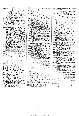- News (Organizational) (contd.)<br>
"Scatter" Frequencies Allocated by<br>
F.C.C., 567 Dec.<br>
Servicing Technicians' Association?<br>
R.T.E.B. Proposed, 154 Apr.<br>
Student Exchange, 3 Jan. News (Organizational) (contd.)<br>
"Scatter" Frequencies Allocated by<br>
F.C.C., 567 Dec.<br>
Servicing Technicias, Association?<br>
R.T.E.B. Proposed, 154 Apr.<br>
Tape Exchange, 3 Jan.<br>
Tape Exchange Clubs, 357 Aug.<br>
Television Societ
	-
	-
	- Tape Exchange Clubs, 357 Aug.<br>Television Society Council, 256 June<br>Wireless World Editorship (Editorial),
- 
- 
- 
- 203 May<br>
203 May<br>
203 May<br>
N.P.L. Open Day, 339 July.<br>
Noise, 339 July<br>
Noise, 339 July<br>
Noise, 339 July<br>
Nomogram, Resistance Current Voltage-<br>
Power, B. E. Jackson, 18 Jan.;<br>
(Letter), 82 Feb. N.P.L. Open Day, 339 July.<br>Noise, 339 July.<br>Noise, 339 July<br>Nomogram, Resistance - Current - Voltage-<br>Power, B. E. Jackson, 18 Jan.;<br>*(Letter*), 82 Feb., (Letters) 118 Mar.<br>75 Feb., (Letters) 118 Mar.
- 
- **OBITUARIES:** Bohm, Dr. Otto M., 309<br>
July; Browne, G. C. W., 5 Jan.;<br>Clack, George T., 5 Jan.; Clarke,<br>E. C. W., 309 July; Daniel, L. H.,<br>
E. 20 Nov.; Emery, E. J., 258 June;<br>
Gay, Arthur, 409 Sept.; Langmuir,<br>
Dr. Impg. R.L., 5 Jan.; Price, T. W., 106 Mar.; Prince, Major Charles E., 520 Nov.; Sansum, Lionel W., 570 Dec.; Solari, M.W., 309 July; Wilkinson, Canon<br>Marchese Luigi, 106 Mar.; Tremellen, K.W., 309 July; Wilkinson, Canon<br>H. R., 3 **OBITUARIES:** Bohm, Dr. Otto M., 309<br>July; Browne, G. C. W., 5 Jan.; Clack, George T., 5 Jan.; Clarke,<br>R. C. W., 309 July; Daniel, L. H.,<br>520 Nov.; Emery, E. J., 258 June;<br>Gay, Arthur, 409 Sept.; Langmuir,<br>Dr. Irving, 464 New (Generalization) (control Altocastel by QUAD Maria P. Riegiston) (Control Architecture Control Architecture Control Architecture (State of the Control Architecture Control Architecture Control Architecture Control Arc
- 
- Off the Record (Editorial) 253 June; (Letter)<br>Oscillator, Grid-Dip, H. B. Dent, 121 Mar.<br>--, Simple V.H.F. Test, Bernard Driver,<br>37 Jan.<br>----- Stability, Transistor, M. G. Scroggie,<br>443 Sept.; (Letters) 487 Oct.
- 
- Oscilloscope, D.C. Calibrated, B. Pearce, 539 Nov.
- 
- Output Transformerless Amplifiers, 58 Feb., (Correction) 106 Mar. Overcoming Line-Scan Ringing, K. G. Beauchamp, 441 Sept.; (Letter) 593 Dec. , Simple V.H.F. Test, Bernard Driver, <sup>37</sup> Jan. Stability, Transistor, M. G. Scroggie, <sup>443</sup> Sept.; {Letters) <sup>487</sup> Oct. Oscilloscope, D.C. Calibrated, B. Pearce, <sup>539</sup> Nov. Output Transformerless Amplifiers, <sup>58</sup> Feb., {Correction) <sup>106</sup> Mar. Overcoming Line-Scan Ringing, K. G. Beauchamp, <sup>441</sup> Sept.; {Letter) <sup>593</sup> Dec.

**PARIS** International Colour TV Symposium,<br>
International Colour TV Symposium,<br>
Thase Difference Measurement, Sqn. Ldr.<br>
C. de Visme, 581 Dec.<br>
Pickup Alignment Protractor, 339 July<br>
Picture-Tube Sound Monitoring, J. R.<br>
P

- 
- 
- 
- 
- 
- **PARIS** International Colour TV Symposium,<br>
Tas 354 Aug.; (*Letter*) 487 Oct.<br>
These Difference Measurement, Sqn. Ldr.<br>
C. de Visme, 581 Dec.<br>
Pickup Alignment Protractor, 339 July<br>
Picture-Tube Sound Monitoring, J. R.<br>
Pi
- 
- 
- Sept. Pre-Amplifier, "88-50," W. Ian Heath and D. M. Leakey, 314 July, (Correction) , More About, " Cathode Ray," <sup>431</sup> Sept. Pre-Amplifter, " 88-50," W. Ian Heath and D. M. Leakey, <sup>314</sup> July, {Correction) <sup>430</sup> Sept.
- 430 Sept. --, Inexpensive, P. J. Baxandall, 209 May Prefabricated Chassis, D. M. Neale, 390 Aug., Additions 451 Sept., 487 Oct. Printed Circuits, Servicing, Jack Darr, <sup>550</sup>
- 
- Nov. Process Control Timer, 500 Oct. Prospector's Portable, 481 Oct.
- 
- " **QUAD** " Aerial, F. B. Singleton, 607 Dec. Quantum Amplifiers, 212 May
- **RADAR,** Airborne Weather, 227 May<br>-- Wavelengths, Choosing, R. F. Hansford RADAR, Airborne Weather, 227 May<br>
— Wavelengths, Choosing, R. F. Hansford<br>
and R. T. H. Collis, 188 Apr.<br>
Radio Milestones (Editorial) 51 Feb.<br>
— Propagation, Is it Always Two-Way?<br>
— Teleprinter Equipment, 602 Dec.
- and R. T. H. Collis, 188 Apr.<br>Radio Milestones (*Editorial*) 51 Feb.
- 
- 
- 
- --Propagation, Is it Always Two-Way? T. W. Bennington, 20 Jan. -- Teleprinter Equipment, 602 Dec. --Telescope at Cambridge, 477 Oct. "Rainbow 'Round my Shoulders," Jack Darr, 385 Aug. RANDOM RADIATIONS, by " Diallist," 48 Jan., 98 Feb., 148 Mar., 200 Apr., 250 May, 300 June, 850 July, 400 Aug.; 456 Sept., 512 Oct., 562 Nov., 612 Dec. • Telescope at Cambridge, <sup>477</sup> Oct. " Rainbow 'Round my Shoulders," Jack Darr, <sup>385</sup> Aug. RANDOM RADIATIONS, by " Diallist," <sup>48</sup> Jan., <sup>98</sup> Feb., <sup>148</sup> Mar., <sup>200</sup> Apr., <sup>250</sup> May, <sup>300</sup> June, <sup>350</sup> July, <sup>400</sup> Aug., <sup>456</sup> Sept., <sup>512</sup> Oct., <sup>562</sup> Nov., <sup>612</sup> Dec. Reading by Electronics, <sup>173</sup> Apr. Receiver? Ideal" ^Editorial) <sup>459</sup> Oct.
- Reading by Electronics, 173 Apr.<br>Receiver? .'' Ideal '' *\Editorial*) 459 Oct.
- 
- --, " Semi-Communications " 24 7 May Record Handling Tool, Miragrip, 24 7 May --Reproduction, Limiting Factors, D. A. Barlow, 228 May, 290 June; (Letters) <sup>371</sup>Aug., 429 Sept. Recording Colour TV on Tape, H. R. L. Accord Handling Tool, Miragrip, 247 May<br>
Record Handling Tool, Miragrip, 247 May<br>
Record Handling Tool, Miragrip, 247 May<br>
— Reproduction, Limitting Factors, D. A.<br>
Barlow, 228 May, 290 June; (Letters)<br>
371 Aug., 429 Sept.
- 
- Lamont, 183 Apr.<br>Residual Magnetism in Recording Heads,<br>14 Jan. Resistance-Current-Voltage-Power Nomo-
- 
- gram, B. E. Jackson, 18 Jan.; (Letter)<br>82 Feb. Resistors, Chromium Nitride, 96 Feb.
- 
- gram, B. E. Jackson, 18 Jan.; (Letter)<br>Resistors, Chromium Nitride, 96 Feb.<br>——, Plug-in Wirewound, 476 Oct.<br>Return Loss, Thomas Roddam, 521 Nov.,<br>583 Dec. , Plug-in Wirewound, <sup>476</sup> Oct. Return Loss, Thomas Roddam, <sup>521</sup> Nov., <sup>583</sup> Dec.
- 
- SATELLITE Observations for Amateurs,<br>
Satellites. Artificial Earth, 574 Dec.<br>
Saw-Tooth Generator, "Grid-Diode," T. A.<br>
Saw-Tooth Generator, "Grid-Diode," T. A.<br>
Mendes, 603 Dec.
- 
- 
- 
- 
- 
- Scientific Theories, "Cathode Ray," 503 Oct., (*Unbiased*) 614 Dec.<br>Seeing and Hearing, Colin Cherry, 164 Apr.;<br>Seeing and Hearing, Colin Cherry, 164 Apr.;<br>Semiconductor Symbols, P. M. Thompson<br>and J. Bateson, 525 Nov.<br>Sen
- Short-Circuited Turn, Thomas Roddam, 114<br>Mar.; (Letter) 274 June
- SHORT-WAVE CONDITIONS, 28 Jan., 62 Feb., 123 Mar., 187 Apr., 240 May, 284 June, 346 July, 372 Aug., <sup>434</sup>
	-
- Sept., 474 Oct., 536 Nov., 594 Dec.<br>Signal Intensity Meter, Band-III, 139 Mar.<br>Simple V.H.F. Test Oscillator, Bernard<br>Dirver, 37 Jan.<br>Single-beam Colour Tube, 2 Jan.<br>"Solid Circuits," 516 Nov.<br>"Solid Circuits," 516 Nov.<br>St **SATELLITE** Observations for Amateurs,<br>
Satellites. Artificial Earth, 574 Dec.<br>
Saw-Tooth Generator, "Grid-Diode," T. A.<br>
Mendes, 603 Dec.<br>
Scientific Theories, "Cathode Ray," 503 Oct.,<br>
Scientific Theories, "Cathode Ray,
- 
- 
- 
- 
- 
- 
- Subjective Colour for Television? C. B. M. Hansel, 508 Oct. Sun-Powered Portable, 146 Mar. Superconductivity, "Cathode Ray," <sup>326</sup>
- 
- July Switching Circuit, Drilled-Ferrite, 3 Jan.
- Symbols, Semiconductor, P. M. Thompson and J. Bateson, 525 Nov.

5

<www.americanradiohistory.com>

- Sync Separator, Improved, Michael P. Bed-<br>does, 83 Feb.<br>T.R.F. Television Receivers, Modernizing.
- **T.R.F.** Television Receivers, Modernizing,<br>P. F. Cundy, 27 Jan.<br>Tape. High-Remanence, 46 Jan.<br>---- TV Colour Recording H, P. J. Lemont.
- 
- 
- -
- ---- TV Colour Recording, H. R. L. Lamont,<br>
183 Apr.<br>
183 Apr.<br>
Telephone Exchange, Electronic, 490 Oct.<br>
Television Frame Pulse Separator, H. D.<br>
----- in France, "Diallist," 148 Mar.<br>
------ in France, "Diallist," 148 Ma P. F. Cundy, 27 Jan.<br>
Tape. High-Remanence, 46 Jan.<br>
Tape. High-Remanence, 46 Jan.<br>
183 Apr.<br>
183 Apr.<br>
183 Apr.<br>
183 Apr.<br>
184 Nov. Electronic, 490 Oct.<br>
Telephone Exchange, Electronic, 490 Oct.<br>
Television Frame Pulse Se
- $\frac{M_{\text{AV}}}{}$  from F.M., "Diallist," 98 Feb.;<br>
(Letter) 119 Mar.<br>  $\frac{R_{\text{AV}}}{R}$  Reflections, J. K. S.
- ------Sea RtJfl.ections, J. K. S. Jowett, 262 June --Sideband Analyser, 524 Nov. 1'hermionic Cathodes, Modern, R. W. Fane, 488 Oct.
- 
- Time Constants, "Cathode Ray," 218 May Transatlantic Television, 28 Jan.
- Transformerless Amplifiers, Output, 58 Feb.; (Correction) 106 Mar.
- Transistor Audio Amplifiers, High-Power, 52 Feb. --Circuit Symbols, E. H. Cooke-Yar-borough, 333 July - Communications Receiver, 281 June -- Graphical Symbols, " Cathode Ray," 194 Apr.
- 
- 
- -- Oscillator Stability, M. G. Scroggie, 443<br>Sept.; (Letters) 487 Oct.<br>Receiver, Portable, S. W. Amos, 241<br>May, 340 July; Further Notes, 452 Jowett, 262 June<br>
Sideband Analyser, 524 June<br>
Sideband Analyser, 524 Nov.<br>
1888 Oct.<br>
488 Oct.<br>
1889 Oct.<br>
1889 Oct.<br>
1889 Oct.<br>
1893 Transformerless Amplifiers, Output, 58 Feb.;<br>
1894 Correction 106 Mar.<br>
1894 Apr.<br>
28 F
- 
- Sept. --Superhet, Portable, W. Woods-Hill, 15 Jan.; (Correction) 56 Feb. Transmitter Performance, B.B.C. F.M., <sup>69</sup>
- Feb.<br>Truer than the Truth (*Editorial*) 151 Apr.<br>Tubeless Colour Television? 2 Jan.
- 
- Turn, Short-Circuited, Thomas Roddam,<br>114 Mar.; (*Letter*) 274 June<br>Twenty-one Years (*Editorial*) 565 Dec.
- **UNBIASED,** by "Free Grid," 50 Jan., 100 Feb., 150 Mar., 202 Apr., 252<br>May, 302 June, 352 July, 402 Aug.,<br>458 Sept., 514 Oct., 564 Nov., 614 Dec. UNBIASED, by "Free Grid," 50 Jan., 100 Feb., 150 Mar., 202 Apr., 252 May, 302 June, 352 July, 402 Aug., 402 Aug., 388 Aug., 388 Aug.
- Unconventional Communications Receiver, 388 Aug.
- **V.H.F.** Broadcasting, High-Quality Sound, G. H. Russell, 31 Jan.; (Letter) 177 Apr. ----Convertor, Wideband, G. P. Anderson, 88 Feb.
- 

Feb.

- —— Measuring Sets, 247 May<br>—— Radio, Maritime, Capt. F. J. Wylie, 175
- Apr.<br>
Test Oscillator, Simple, Bernard Driver,<br>
37 Jan.
- 
- ——— Variable Attenuators, B. G. Martindill,<br>181 Apr.<br>Valves in the Limelight (*Editorial*) 101 Mar. Convertor, Wideband, G. P. Anderson, S. S. Feb. 68<br>
S. S. Feb. 1917<br>
Measuring Sets, 247 May<br>
Measuring Sets, 247 May<br>
Measuring Sets, 247 May<br>
Maritime, Capt. F. J. Wylie, 175<br>
Test Oscillator, Simple, Bernard Driver,<br>
37
- 
- **WIDEBAND** Communications Systems, 266 June<br>--- V.H.F. Convertor, G. P. Anderson, 88 WIDEBAND Communications Systems,<br>
266 June<br>
T.H.F. Convertor, G. P. Anderson, 88<br>
WORLD OF WIRELESS 4 Jan., 54 Feb.,<br>
104 Mar., 154 Apr., 206 May, 256<br>
June, 307 July, 357 Aug., 407 Sept.,<br>
462 Oct., 518 Nov., 567 Dec.

WORLD OF WIRELESS. 4 Jan., 54 Feb., 104 Mar., 154 Apr., 206 May, <sup>256</sup>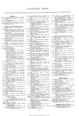## CLASSIFIED INDEX

(All entries except Books & Publications, Personalities and Technical Notebook also appear in the General Index.)

**AERIALS**<br>
Colour Television Aerials (*Letter*) 430 Sept.<br>
F.M. Aerials, Bi-Directional, H. B. Dent,<br>
Mismatch Aericity

- 
- $\begin{tabular}{ll} \textbf{Mismatch} & Aov, \\ \textbf{Mismatch} & Aerial/Propagation, R. J. Hitch-  
cock, 599 Dec. \\ ``Quad'' Aerial, F. B. Singleton, 607 Dec. \\ \textbf{Stanford Research Institute Parabolic Aerial System, 485 Oct.} \end{tabular}$

- **BOOKS AND PUBLICATIONS**<br>A.C. Synchro Systems for Civil Aircraft, 172 Apr.
- 
- Application of Phase-coherent Detection and Correlation Methods to Room Acousties, C. L. S. Gilford and M. W. Green-<br>ties, C. L. S. Gilford and M. W. Green-<br>and correlation Methods to Room Acousties, C. L. S. Gilford and M
	-
- 
- Bibliography of High-Fidelity Sound Reproduction, K. J. Spencer (*News*) 56
- Feb.<br>
Hrimar Radio Valve and Teletube Manual<br>
No.7, 608 Dec.<br>
ERITISH STANDARDS<br>
Ebonite, 591 Dec.<br>
Fhontie, 1912<br>
Fixed Paper-Dielectric Capacitors for<br>
Picxible Insulating Sleeving, 453 Sept.<br>
Fraphical Symbols for Telec
- -
	- -
	-
	-
	- munications, Supprements Nos. 4<br>and 5, 172 Apr.<br>Nickel-Iron Laminations, 384 Aug.<br>Safety Requirements for Radio or<br>docustical or Visual Reproduction,<br> $200 \times 172$  Apr
- Cathode Ray Oscillographs, J. H. Reyner,<br>  $\frac{542 \text{ Ayr}}{20 \text{ s}}$  (besidescope, J. Czech, 172 Apr.<br>  $\frac{-642 \text{ No}}{20 \text{ s}}$  (became Insulators for Telecommunication<br>
Purposes, 507 Oct.<br>
Clear Purposes, 507 Oct.
- 
- 
- 
- 
- Purposes, 507 Oct.<br>
Commercial Broadcasting in the British West Indies, 22 Jan.<br>
Copyright in Sound Recordings, P. Ford, 453<br>
Sept. and Formulæ for Students:<br>
Radio and Television Engineering,<br>
A. T. Starr, 608 Dec.<br>
Depa
- 
- 
- 
- Dictionalie Francais-Anglais, H. Firaux,<br>
22 Jan.<br>
Dry-Battery Receivers with Miniature<br>
E.R.A. Weekly Abstracts (News) 519 Nov.<br>
E.R.A. Weekly Abstracts (News) 519 Nov.<br>
Electrone Musical Instrument Manual, Alan<br>
Douglas,
- 
- Encarcumum Mov. (a. b. c. c. surve, 542<br>
Engineering Training in the B.B.C., K. R.<br>
Sturley, 334 July<br>
F.B.I. Register of British Manufacturers<br>
(News) 57 Feb.<br>
F.M. Radio Servicing Handbook, Gordon J.<br>
King 549 Nov
- 
- Final King, 542 Nov.<br>Finales, R.I.C. Specification, 606 Dec.<br>Foundations of Wireless, M. G. Scroggie, 127
- Mar. Gramophone Handbook, Percy Wilson, 87
- Feb.<br>to Broadcasting Stations 1957-58 Guide
- 
- 
- 
- 
- 
- Handbook of Basic Circuits, in. mailui, 22<br>
High Fidelity: A Practical Guide, Charles<br>
Fidelity: A Practical Guide, Charles<br>
Fowler, 608 Dec.<br>
 Loudspeaker Enclosures, B. B.<br>
5 Babani, 608 Dec.<br>
7 roved "Roving Eye," T. W
- 
- Industrial Rectifying Tubes, Members of<br>Philips Electron Tube Division, 507
- Det.<br>Instrument Directory and Buyer's Guide,
- 
- Instrument Directory and Digital Computers, R. K. Livesley, 507 Oct.<br>
Duters, R. K. Livesley, 507 Oct.<br>
——Junction Transistor Theory, R. D.<br>
——Dinnetion Transistor Theory, R. D.<br>
——Printed Circuits, R. L. Swiggett,<br>
——Prin
- 
- 
- La Fox, 172 Apr.<br>
L. Fox, 172 Apr.<br>
Mathematics for Electronics with Applications, H. M. Nodelman and F. W.<br>
Smith, 87 Feb.<br>
Metal Industry Handbook and Directory,<br>
334 July<br>
Modern Commuting Methods Staff of the
- 
- Modern Computing Methods, Staff of the<br>N.P.L. Mathematics Division, 507 Oct.
- Morse Code for Radio Amateurs, Margaret
- 
- 
- 
- 
- Morse Code for Radio Amateurs, Margaret<br>
Mills, 87 Feb.<br>
1971 and S, 453 Sept.<br>
Polythene—The Technology and Uses of<br>
Folythene—The Technology and Uses of<br>
Reibylene Polymers, 313 July<br>
Proceedings of the Conference on Ra Oct.
- Oct.<br>
Properties and Design of Iron-cored Suppression Chokes, J. Miedzinski, 172 Apr.<br>
Quartz Crystals as Oscillators and Resona-<br>
Richards, 22 Jan.<br>
Richards, 22 Jan.<br>
Richards, 22 Jan.<br>
Richards, 22 Jan.<br>
Richards, 22 Ja
- -
- 
- 
- Sept.
- Interference from High Voltage Distribution Systems, S. F. Pearce, 608
- 
- 
- Somi-conductors: Their Theory and Practice,<br>G. Goudet and C. Mealeau, 334 July<br>Simple and Versatile R.F. Measuring Circuit,<br>J. Miedzinski and S. F. Pearce, 172
- 
- J. Miedzinski and S. F. Pearce, 172<br>
Simplified Electronics, Rufus P. Turner,<br>
608 Dec.<br>
for the Frequency<br>
Range 10 c/s to 1 Mc/s, D. C. G.<br>
T.V. Conversion for I.T.A., C. E. Lotcho,<br>
172 Apr.<br>
T.W. Conversion for I.T.A.,
- 
- 
- 
- $\begin{tabular}{l} \textit{structor, 507 Oct.} \\ \textit{Tape Records and Tape Records.} \\ \textit{Weiler, 453 Sept.} \\ \textit{Pelerision Engineering, S. W. Amos and D. C. Birkinslaw, 127 Mar.} \\ \textit{Explained, W. E. Miller, 87 Feb. (News) 156 Apr.} \\ \textit{Trogramming and Production, Richard Hubble, 22 Jan.} \\ \textit{Deceiving Equipment, W. T. Cocking, 127 Mar.} \\ \textit{Techniques, Hoyland Better and$
- 
- 
- Techniques, Hoyland Bettinger and<br>Sol Cornberg, 172 Apr.
- 
- Sol Cornberg, 172 Apr.<br>
Theorie and Technik der Pulsmodulation, E.<br>
Holzler and H. Holzwarth, 172 Apr.<br>
Transistor A.F. Amplifiers, D. D. Jones and<br>
R. A. Hilbourne (News) 407 Sept.,<br>
487 Oct.<br>
 Gircuits, Rufus P. Turner
- 
- 
- Tube Selection Guide, 1956-57, Th. J. Kroes,
- 172 Apr.<br>Tubes for Computers, 172 Apr.

www.americanradiohistory.com

- 
- 
- U.H.F. Tubes for Communication and Measuring Equipment, 172 Apr.<br>
Uber die Anwendung von Ferriten zur Amplituden-modulation von Mikrowellen, M. Santesmases, 334 July<br>
Understanding Hi-Fi Circuits, Norman H. Crowingst, 160
- 
- 
- July

- **CIRCUITRY (Parts of Circuits)**<br>Attentuators, V.H.F. Variable, B. G. Martin-<br>dill, 181 Apr.<br>Blocking Oscillator, "Cathode Ray," 285
- June
- 
- June<br>Cascode Characteristics, W. Grant, 33 Jan.<br>Cathode Follower Circuits, Multi-Valve, J. G.<br>Thomason, 310 July, 373 Aug.<br>Choke or Capacitor Input? "Cathode Ray."<br>589 Dec.
- Detector Circuits, Diode A.M., 392 Aug. F.M. Discriminator Bandwidth, G.  $\mathbf{J}$ .  $\overline{\mathrm{F}}$ .M.
- Phillips, 571 Dec.<br>Using Ferrites, T. W. G. Calvert, 505 Oct.
- Frame Pulse Separator, H. D. Kitchin, 554 Gated-Beam Valve, Lawrence W. Johnson,<br>23 Jan.<br>Gyrator, Thomas Roddam, 423 Sept., 497

Uset.<br>
Limiters and Discriminators for F.M. Receivers, G. G. Johnstone, 8 Jan., 70<br>
Feb., 124 Mar., (Letter) 177 Apr., 225<br>
May, 275 June, 378 Aug.<br>
Line-Scan Ringing, Overcoming, K. G.<br>
Beauchamp, 441 Sept.; (Letter) 593<br>

me Sheauchamp, 441 Sept.; (Letter) 593<br>
Negative Resistance, "Cathode Ray," 42<br>
Jan., 92 Feb.<br>
Jan., 92 Feb.<br>
Saw-Tooth denerator, "Grid-Diode," T. A.<br>
Mendes, 603 Dec.<br>
Series or Parallel? "Cathode Ray," 133<br>
Mar.<br>
Sync S

**COMPONENTS**<br> **Attentuators, V.H.F. Variable, B. G. Martin-**<br>
dill, 181 Apr.<br> **Automatic Component** Assembly, K. M.<br>
McKee, 63 Feb.<br> **Cleaning a File (Letter) 430 Sept.**<br> **Component Developments, G. W. A. Dum-**<br> **Referred** 

Electroluminescence, D. W. G. Ballentyne,

128 Mar.

128 Mar.<br>
Ferrite Switching Circuit, Drilled, 3 Jan.<br>
French Components Show, 204 May.<br>
Prefabricated Chassis, D. M. Neale, 390 Aug.,<br>
Additions 451 Sept., 487 Oct.<br>
Printed Circuits, Servicing, Jack Darr, 550<br>
Nov

Printed Circuits, Servicing, Jack Darr, 500<br>R.E.C.M.F. Components Show, List of Exhibitors, 198 Apr.; Reviews 267, 282,<br>283 June, 321 July<br>Recording Heads, Residual Magnetism in,<br>14 Jan.<br>Resistors, Chromium Nitride, 96 Feb

**DESIGN (Whole Circuits)**<br>Amplifier, Design for a 50-watt, W. Ian Heath<br>and  $Q$ . R. Woodville, 158 Apr.<br> $\longrightarrow$  Tape, (Letter) 81 Feb.

**COMPONENTS** 

 $\text{Gyrator, } \overset{\text{ } }{\text{T}}\text{.}$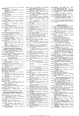- 
- Amplifler, 400-watt Audio, G. R. Woodville,<br>543 Nov.<br>Thexpensive High-Quality, P. J.<br>Thexpensive High-Quality, P. J.<br>Baxandall, 108 Mar., 168 Apr.;  $\begin{array}{cccccc}\n\text{Intexpansion} & \text{H.} & \text{H.} \\
\text{Baxanodal}, & 108 & \text{Mar}, & 168 & \text{Apr.}; \\
\text{Letter} & 177 & \text{Apr.} & \text{M.} & \text{L.} \\
\text{Letter} & 177 & \text{Apr.} & \text{L.} & \text{L.} \\
\text{F.} & \text{F.} & \text{F.} & \text{F.} & \text{F.} \\
\text{F.} & \text{F.} & \text{F.} & \text{F.} & \text{F.} \\
\text{F.} & \text{F.} & \text{F.} &$
- 
- Component restang brings, C. D. Lilldsay,<br>Convertor, Wideband V. H. F., G. P. Ander-<br>convertor, Wideband V. H. F., G. P. Ander-<br>son, 88 Feb.<br>"Do It Yourself" Interference (Letter) 594
- nec.
- Dec.<br>
Fruit Machine, Electronic, G. L. Swaffield,<br>
147 Sept.<br>
Oscillator, Grid-Dip, H. B. Dent, 121 Mar.<br>
57 Jan.<br>
Oscilloscope, D. C. Calibrated, B. Pearce,<br>
Oscilloscope, D. C. Calibrated, B. Pearce,
- Oscilloscope, D.<br>539 Nov.
- 
- Base Difference Measurement, Sqn. Ldr.<br>
Phase G. de Visme, 581 Dec.<br>
Pre-Amplifier, "88-50", W. Ian Heath and<br>
Pre-Amplifier, "88-50", W. Ian Heath and<br>
D. M. Leakey, 314 July; (Correction)  $430$  Sept.
	- Inexpensive, P. J. Baxandall, 209
- Inexpensive, P. J. Baxandall, 209<br>
May<br>
May<br>
Receiver Design, Economy in, (Letter) 82 Feb.<br>
Receiver Descrations for Amateurs, 0.J.<br>
Satellite Observations for Amateurs, 0.J.
- Satellite Unservations for Amateurs, U.J.<br>
Russell, 579 Dec.<br>
Stabilization of A.C. Supplies, O.E. Dzier-<br>
zynski, 491 Oct.<br>
Transformerless Amplifiers, Output, 58 Feb.;<br>
The Mean Output, 58 Feb.;
- 
- 
- Transformeriess Ampuners, Output, 35 Feb.,<br>Transistor Audio Amplifiers, High-Power,<br>25 Feb.<br>- Seceiver, Portable, S.W. Amos, 241<br>May, 340 July, Further Notes, 452 Sept
- Sept.<br>
Superhet, Portable, W. Woods-Hill,<br>
15 Jan.; (Correction) 56 Feb.<br>
Truer Than the Truth (Editorial) 151 Apr.
- 

**EDUCATION AND TRAINING** 

- "Classification of Electronic Tubes", Educa-<br>tional Wallchart (News), 308 July<br>Etymological Inexactitude (Letters) 82 Feb.,
- 
- Etymological Inexactivities (*Letters*) of Feb.,<br>
Information Engineering (*Editorial*) 253 June<br>
Scientific Theories, "Cathode Ray", 503<br>
Schools Television Begins (*News*) 462 Oct.<br>
Schools Television Begins (*News*) 462
- **ELECTRONICS**
- Brit.I.R.E. Convention on Automation, 355
- Aug.<br>Component Assembly, Automatic, K. M.
- 
- McKee, 63 Feb.<br>Computers, More Jobs for, 485 Oct.<br>Computing Service by the Battelle Institute<br>Computing Service by the Battelle Institute
- 
- 
- 
- 
- 
- (*News*), 56 Feb.<br>
Electroliminescence, D. W. G. Ballentyne,<br>
Electronics Up to Date (*Editorial*) 151 Apr.<br>
Electronics Up to Date (*Editorial*) 151 Apr.<br>
Eye Movements, Plotting, 246 May<br>
Farnborough Air Show, 460 Oct.<br>
- Medical Electronics Centre Planned (News)
- 
- 
- Medical Electronics Centre Planned (News)<br>
357 Aug.<br>
2007 Girenti, New, 320 July<br>
N.P.L. Open Day, 339 July<br>
Noise, 339 July<br>
Noise, 339 July<br>
Noise, 339 July<br>
Physical Society's Exhibition, (News) 104<br>
Mar.; Reviews 213
- 
- 
- 
- July Telephone Exchange, Electronic, 490 Oct.
- 
- **MANUFACTURERS' PRODUCTS**<br>Aerialite "Unex" Band I Television Aerial,<br>231 June 236 Control Timer, 500 Oct.
- 
- Alma Components Plug-in Wirewound<br>Resistors. 476 Oct.
- 
- 
- Resistors, 476 Oct.<br>
Resistors, 476 Oct.<br>
Sept. Wideo Tape Recording Machine, 445<br>
Antiference Whip Aerial, 139 Mar.<br>
Arcolectric Miniature Toggle Switch, 281<br>
June Toggle Switch, 281<br>
June Telephone and Electric Co.<br>
Wide
- Diode, 502 Oct.
- 
- 
- 
- 
- $\begin{tabular}{l|c|c|c} \textbf{Belark} \; \textbf{Tool} \; \textbf{and Stamping Co. Alumiium} \\ \hline \hspace{1em} \textbf{Soft-Soldering} \; \textbf{Tool,} \; \textbf{80} \; \textbf{Feb.} \\ \textbf{Birmingham Sound Reproduers Four-Speed} \\ \textbf{Gramophone Turnbl, 559 and} \\ \textbf{Blundell Rules ``Gerry''} \; \textbf{Decibel Circular} \\ \textbf{British Llales "Gley" Dcelbel Circular} \\ \textbf{British Lusulated Callender's Construction} \\ \textbf{Co, Wideband Communications System} \\ \textbf{Brooks and Gatehouse ``Homer''} \; \textbf{$ Sept.
- Temperature Compensation<br>
Oven, 296 June<br>
Burne-Jones Pickup Alignment Protractor,<br>
339 July<br>
CSING
- C.S.I.R.O. Kilowatt Pulse Transistor, 295
- 
- C.S.I.R.O. Knowau Fuise Hamsson, 255<br>Canadian Aviation Electronics Prospector's<br>Cardross Engineering "Ceco" Constant-heat<br>Soldering Iron, 281 June<br>Cawkell Mechanical Damping Meter, 547
- 
- Nov.<br>Claravox Products "Miragrip" Record Hand-
- CHATON PTOQUELS "MITAGET" Record Hand-<br>
ling Tool, 247 May<br>
Computer Measurements Corporation Record Pto-set Counter. 548 Nov.<br>
Cooke Spring-loaded Terminal, 553 Nov.<br>
Data Recording Instrument Co. Heads, 332<br>  $\frac{1}{100}$
- 
- 
- 
- Data Recording American<br>
July<br>
Eddystone 870 Receiver, 247 May<br>
Elliott Bendix RDR1 Airborne Weather<br>
Radar, 227 May<br>
Engel and Gibbs Mercury Switch, 548 Nov.<br>
Pingel and Gibbs Mercury Switch, 548 Nov.<br>
Relay Vacuum Switch
- Deen Helectric Valve Co. Wideband Com-<br>munications Systems, 266 June<br>Ericsson Telephones Industrial Batch coun-<br>ter, 445 Sept.<br>—— Plug-in Counter Units, 231 May<br>—— Bubminiature Trigger Tube, 548
- 
- 
- 
- 
- 
- 
- 
- 445 Sept. - - TV Vectorscope,
- 296 June Type AD2300, 396 Aug.<br>Type AD2300, 396 Aug.<br>Communications Systems, 266 June<br>Meadows-Dale Parabolic Band-III Areial, 139
- 
- Mar.<br>Metropolitan-Vickers Particle Accelerator,
- 
- Minnesota Mining and Manufacturing Co.<br>
"Scotch Boy" High-remanence Tape,  $46 \text{ Jan.}$
- router Products Stainless Steel<br>Solder, 502 Oct.<br>Pye Marine Clyde Ship-to-Shore Telephone,<br> $\frac{255}{100}$  June
- 
- Pye Telecommunications "Ranger" V.H F.<br>Telephone Equipment (News) 105
- Telephone<br>
Mar. Private Automatic Telephone Ex-<br>
 Private Automatic Telephone Ex-<br>
R.C.A. Miniature Camera Tube, 295 June<br>
 Wide-Angle Television Tube, 80 Feb.<br>
Pressi Communications Receiver, 388 Aug.
- 
- 
- Racal Communications Receiver, 388 Aug.<br>
Frequency Shift Keying Teleprinter,<br>
m ... 602 Dec.
- Radio-Aids Band-III Signal Intensity Meter, 139 Mar.
- Lamo-Wooldridge High-Speed Correlation<br>Computer, 446 Sept., 595 Dec.<br>Rola Super Elliptical Speaker, 232 May
- 
- 
- Rola Super Elliptical Speaker, 232 May<br>Rubber and Asbestos Corporation Adhesive<br>Salford Electrical Instruments Non-Linear-<br>Function Pot metric and the speaker of the Sea Wave Communications Compact Marine<br>Transmitter, 139
- 266 June<br>Standard "Selectophone" T5 Turntable Tape
- Recorder, 296 June<br>Tape Cable Corporation Flat Tape Cable,<br>596 Dec.
	- 7

www.americanradiohistory.com

- $\begin{tabular}{ll} {\bf Telemechanics} & 7474 & and 7475 & V.H.F.\\ \hline Measuring Sets, 247 May\\ {\bf Telephone Manniaations Systems} & Commanications Systems, 266 June\\ {\bf Texas Instruments, R.F. Silicon Transistors,} \end{tabular}$
- 
- rexas instanting, K.F. Shicon Hansiston,<br>
The H.R. Transiston, 179 Apr.<br>
Varian High Power Klystron, 547 Nov.<br>
Venner Electronics Frequency and Time<br>
Measuring Equipment, 446 Sept.<br>
The Transistor Decade Counter, 41
- Tan. Valve Protection Timer, 547 Nov.<br>Wright and Weaire Magnetic Head Defluxer,

14 Jan.

## **ORGANIZATION** A.B. Metal Products Acquired by Gas Purification Co. (*News*) 248 May<br>Audio Fair, London 1957, List of Exhibitors<br>153 Apr.; Review 259 June; (*Letter*)<br>273 June

Automation and Computation Consortium<br>(News) 308 July<br>Autumn Audio Fair Exhibition (News) 518

B.R.E.M.A. Oscillator Radiation Linnus<br>  $N/N.A.$  Oscillator Radiation Linnus<br>  $(News)$  154 Apr.<br>
B.S.R.A. Committee (News) 359 Aug.<br>
B.S.R.A. Committee (News) 359 Aug.<br>
Competition Awards, 517 Nov.<br>  $407$  Sept.; Review 537 No

Convention on Automation, Journal Membership (News) 568 Dec.<br>
British Computer Society Formed (News)<br>
358 Aug.<br>
258 Aug.<br>
Colour TV in U.S.A. (Editorial), 303 July<br>
Colour TV in U.S.A. (Editorial) 203 May;<br>
Co. Stanley's I

515 Nov.<br>
(*Galitorial*) 403 Sept.<br>
Cosmocord Acquired by Pena Copper Mines<br>
Cosmocord Acquired by Pena Copper Mines<br>
D.S.I.R. National Lending Library, 478 Oct.<br>
Electronics on Show *(Editorial*) 303 July<br>
Elliott Bros. a

European Radio Industry (Martin 1998)<br>
Expert Gramophones Acquired by Wolsey<br>
Expert Figures (News) 164 Sept.<br>
Export Figures (News) 104 Mar., 256 June,<br>
107 Sept.<br>
The Condition Stations in U.S.A. (News)

407 Sept.<br>F.M. Broadcasting Stations in U.S.A. (News)<br> $409$  Sept.<br>Ferranti Radio and Television Formed<br>(News) 107 Mar.<br>French Air Show, 368 Aug.<br>Tength Air Show, 204 May<br>Frequency Planning—P.M.G.'s Committee<br>(News), 407 S

Geophysical Year, U.K. Contribution, 193<br>  $\overline{APL}$ <br>
Apr. International (*Editorial*), 353 Aug.<br>
German Radio Exhibition (*Editorial*), 403<br>
Sept.; Review 404 Sept.<br>
Guarantes and Goodwill (*Editorial*), 51<br>
H.M.V. and Ma

Aug.

Aug. (News) 104 Mar.,<br>
Happort Export Figures (News) 104 Mar.,<br>
Induction Communication Licence (News)<br>
518 Nov.; (Correction) 569 Dec.<br>
Institute of Navigation Membership (News)<br>
519 Nov.<br>
International Instrument Show, L

223 May<br>Italian Television Development, 163 Apr.

515 Nov.

In Audre<br>Nov.<br>M.A. Oscillator Radiation Limits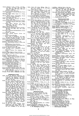- Licence Figures, 6 Jan., 56 Feb., 106 Mar., 156 Apr., 206 May, 256 June, <sup>307</sup> Licence Figures, 6 Jan., 56 Feb., 106 Mar., 566 Apr., 206 May, 256 June, 307<br>July, 358 Aug., 407 Sept., 462 Oct.,<br>518 Nov., 569 Dec.<br>518 Nov., 569 Dec., 518 Nov., 569 Dec., 518 Nov., 569 Dec., 518 Nov., 569 Dec.
- 
- 
- —— Revenue (News) 307 July<br>Licences for Radio-Controlled Models (News)<br>408 Sept.<br>Maritime V.H.F. Radio, Capt. F. J. Wylie,<br>Mobile Radio 25-kc/s Channelling (News)
- 
- 256 June; (*Letter*) 372 Aug.<br>N.P.L. Open Day, 339 July<br>Nash and Thompson Acquired by Thorn
- (*News*) 454 Sept.<br>National Federation of Gramophone Societies' Conference Report, 297 June; (*Letter*)<br>347 July
- 
- 
- $\begin{array}{r} \text{10.5} \-- \text{Radio} \quad \text{Show,} \quad \text{Preview} \quad 410 \quad \text{Set}, \quad \text{(Editorial)}, \quad 465 \quad \text{Oct.}; \quad \text{(Letter) 594 Dec.}; \quad \text{Review} \quad 465 \quad \text{News in Morse} \ (\text{News}) \quad 4 \quad \text{Jan.} \quad \text{Physical Society} \quad \text{Exhibit Inch}(News) \quad 104 \quad \text{Mar.}; \quad \text{Review} \quad 213 \quad \text{May}, \quad 282, \quad 283 \quad \text{June}, \quad 321 \quad \text{July} \$ •—•— Kevenue (News) 307 July Licences for Radio-controlled Models (News) 408 Sept. Maritime V.H.F. Radio, Capt. F. J. Wylie, 175 Apr. Mobile Radio 25-kc/s Channelling (News) 256 June; (Letter) 372 Aug. N.P.L. Open Day, 339 July Nash and Thompson Acquired by Thorn (News) 454 Sept. National Federation of Gramophone Societies' Conference Report, 297 June; (Letter) 347 July Radio Show, Preview 410 Sept.: (Editorial), 459 Oct.; Review 465 Oct.; (Letter) 594 Dec. News in Morse (News) 4 Jan. Physical Society Exhibition (Netos) 104 Mar.; Reviews 213 May, 282, 283 June, 321 July R.C.E.E.A. Computer Standardization (News) 567 Dec. Council, 106 Mar. R.E.C.M.F. Annual Report (News) 154 Apr. Council (News) 248 May
- 
- 
- ——— Council, 106 Mar.<br>R.E.C.M.F. Annual Report (*News*) 154
- 
- Apr. (2011)<br>
---- Council (News) 248 May<br>
---- Council (News) 248 May<br>
---- Show. List of Exhibitors 198 Apr.;<br>
R.I.C. Awards to Authors, 103 Mar., 153 Apr.<br>
R.I.C. Awards to Royal Radar Establishment (News) 257 June<br>
R.S.
- 
- 
- 
- 
- Dec. --Examinations (News) 568 Dec. - Servicing Technicians' Association Pro-posed (News) 154 Apr. R.T.R.A. Officers (News) 257 June
- 
- 
- Radio Hobbies Show; Exhibitors (News)<br>518 Nov.<br>---- Research Station New Building, 399
- Aug.<br>
Receiver Sales Figures (News) 105 Mar.<br>
Royal Society Research Awards (News) 567
- 
- 
- Royal Society Research Awards (News) 567<br>
S.B.A.C. Air Show, 460 Oct,<br>
S.I.M.A. Officers Elected (News) 409 Sept.<br>
S.I.M.A. Officers Elected (News) 409 Sept.<br>
"Scatter" Frequencies Allocated by F.C.C.<br>
Siemens-Edison Swan
- 
- 
- 
- 
- 
- 
- Tape Exchange Clubs \News) 357 Aug. Television Duty ,News) 206 May -- SociPty Council (News) 256 June ·----Exhibition, 152 Apr. - --Premiums (News) 256 June Thorn-Champion Merger (News) 358 Aug. Valves and C.R. Tube Trading Restrictions (News) 462 Oct. --in the Limelight (Editorial) 101 Mar. Wireless World Editor (Editorial) 20'3 May •—•— Show. List of Exhibitors 198 Apr.; Reviews 267, 282, 283 June, 321 July R.I.C. Awards to Authors, 103 Mar., 153 Apr. R.R.E. Now Stands for Royal Radar Estab- lishment (News) 257 June R.S.G.B. Membership (News) 57 Feb. R.T.E.B. Appointments Service (News) 568 Dec, Examinations (News) 568 Dec. Servicing Technicians' Association Pro- posed (News) 154 Apr. R.T.R.A. Officers (News) 257 June Radio Hobbies Show; Exhibitors (News) 518 Nov. Research Station New Building, 399 Aug. Receiver Sales Figures (News) 105 Mar, Royal Society Research Awards (News) 567 Dec. S.B.A.C. Air Show, 460 Oct. S.I.M.A. Officers Elected \News) 409 Sept. " Scatter " Frequencies Allocated by F.C.C. (News) 567 Dec. Siemens-Edison Swan Merger (News) 360 Aug. Simon Equipment Acquired by Harland Engineering Co. (News) 454 Sept. T.E.M.A. Awards 568 Dec. Tape Exchange Clubs (News) 357 Aug. Television Duty yNews) 206 May Society Council (News) 256 June Exhibition, 152 Apr. Premiums (News) 256 June Thorn-Champion Merger (News) 358 Aug. Valves and C.R. Tube Trading Restrictions (News) 462 Oct.
- -—— in the Limelight (Editorial) <sup>101</sup> Mar. Wireless World Editor (Editorial) <sup>203</sup> May

- **PERSONALITIES**<br> **PERSONALITIES**<br>
J. N., 359 Aug.; Amos, S. W., 208 May;<br>
Appleton, Sir Edward, 464 Oct.;<br>
Arbib, Richard, 208 May; Ashbridge,<br>
Sir Noel, 55 Feb.
- Bailey, J. E. C., 258 June; Bangay, R. D., 55 Feb.; Barlow, Derek, 409 Sept.; Barlow, M. W. S., 570 Dec.; Bennett, Baron, C. de., 570 Dec.; Bennett, Leonard, 309 July; Betts, E. H., 307 July; Beverage, Dr. H. H., 258 June;<br>Hishop, Sir Harold, 569 Dec.; Black,<br>A. T., 307 July; 570 Dec.; Bliss, J. J.,<br>258 June; Brabazon, Lord, 464 Oct.;<br>Brown, K. S., 570 Dec.; Browne,<br>Rupert P., 409 Sept.; Bruce, H. D.,<br>207
- B. G., 464 Oct.; Clark, Sir Kenneth,<br>569 Dec.; Clarke, Rear-Admiral Sir Philip, 569 Dec.; Clough, M., 409 Sept.; Collaro, Major C., 570 Dec.; Cornish, H. E., 464 Oct.; Coursey, P. R., <sup>309</sup> **PERSONALITIES**<br>
Addie, Robin W., 569 Dec.; Aldington, Dr.<br>
J. N., 359 Aug.; Amos, S. W., 208 May;<br>
Appleton, Sir Edward, 464 Oct.;<br>
Arbib, Richard, 208 May; Ashbridge,<br>
Sir Noel, 56 Feb.<br>
Bailey, J. F. C. 258 June: Bangay
- July; Crutch, L. S., 5 Jan.; Culshaw,<br>Dr. William, 5 Jan.<br>Davie, 0. H., 155 Apr.; Dawnay, Rear<br>Admiral P., 464 Oct.; Dilger, Law-<br>rence, 409 Sept.; Dodds, Dr. J. M.<br>464 Oct.; Dunkley, J. A., 359 Aug. rence, <sup>409</sup> Sept.; Dodds, Dr. J. M., <sup>464</sup> Oct.; Dunkley, J. A., <sup>359</sup> Aug,
- 
- Eisler, Paul, 258 June; Elting, John G., 464 Oct.; Emery, E. J., 55 Feb.; Essen, Dr. L., 5 Jan.<br>Essen, Dr. L., 5 Jan.<br>Fagg, G. K., 570 Dec.; Faulkner, P. W., 409<br>Sept.; Fennessy, Group Captain E.,<br>307 July; Fink, Donald G. Sept.; Fitton, R.N., 569 Dec.; Flack, W. I., 409 Sept.; Foy, H. L. A., <sup>55</sup>
- Feb.; Furnival, J. M., 208 May Gamage, Leslie, 569 Dec.; Gill, Sir Archibald, 464 Oct.; Gill, J. H., 155 Apr.; Goldup, T. E., 359 Aug.; Goudime, Paul, <sup>409</sup>
- Sept. Flarris, K. E., 520 Nov.;<br>Hardy, C., 55 Feb.; Harris, K. E., 520 Nov.;<br>Harris, Brigadier Sir Lionel, 307 July;<br>Harris, Brigadier Sir Lionel, 307<br>307 July; Hartley, Sir Harold, 309<br>July; Harvey, Air Commodore Sir<br>A. V
- 
- 
- Langford-Smith, F., 155 Apr.; Lawson, G. J. V., 208 May; Leak, Harold J., 520 Nov.; Lewis, E. R. L., 520 Nov.; Lewis, H. A., 55 Feb., 309 Dec.; Lewis, H. A., 55 Feb., 309 July; Lynott, T. P., 5 Jan.; Lyons, D. A., 520 Nov.
- Macleod, J. N., 55 Feb.; McPetrie, Dr. J. S., 359 Aug.; Massey, Prof. H. S. W., 5. W., 5. W., 2. W. E., 464 Oct.; Metcalfe, C., 55 Feb.; Metcalfe, C., 55 Feb.; Metcalfe, C., 55 Feb.; Metcalfe, F. S., 105 Mar.
	-
- Nesbitt-Hawes, Sir Ronald, 520 Nov.;<br>Nicholls, G. K., 5 Jan.<br>Owen, Sir Leonard, 464 Oct.<br>Parker, G. P., 155 Apr.; Perks, F. W., 258<br>June: Peter, Major L. H., 155 Apr.,<br>208 May: Phillips, R. D., 155 Apr.,<br>Pol. Prof. Balthaz Apr.; Pratt, Eric E., 569 Dec.; Prestland, A. D., 258 June; Pulling, W. J. L., 359 Aug.<br>M. J. L., 359 Aug.<br>Quill, W. J., 307 July<br>Radley, Sir Gordon, 567 Dec.; Railing, Sir
- Harry, 569 Dec.; Reekie, Dr. James, 569 Dec.; Rendall, Dr. A. R. A., 307 July; Renwick, Sir Robert, 155 Apr.; Richardson, J. F., 55 Feb.; Roberts, G. G., 409 Sept.; Roberts, R. S., 464 Oct., 520 Nov.; Robinson, F. J., 307 July; Roughton, Henry, 570 Dec.; Roughton, Henry, 570 Dec.; Ryle, Martin, Saward, Dudley, 155 Apr.; Sharp, Peter
- E. M., 56 Feb.; Shipton, H. W., 570 Dec.; Shirley, Air Commodore Thomas, U. C., 258 June; Smale, J. A., 208 May; Smith, A. J., 307 July; Solomon, A. J., 570 Dec.; Soulsby, J. W., 258 June; Speedy, Dr. C. B., 55 Feb.; Spencer, Sir Thomas, 464 Oct.; Strafford, F. R. W., 570 Dec.;<br>Sturgeon, H. G., 105 Mar.; Sturley,<br>Dr. K. R., 520 Nov. External particular interaction in the spectrum of the spectrum of the spectrum of the spectrum of the spectrum of the spectrum of the spectrum of the spectrum of the spectrum of the spectrum of the spectrum of the spectr
- Tagholm, G. E., 570 Dec.; Taylor Dr. Denis,<br>208 May; Taylor, H. E. F., 5 Jan.;<br>Tizard, R. H., 5 Jan.; Townsend,<br>F. H., 520 Nov.; Townsend, F. W.,<br>307 July; Trier, P. E., 258 June;<br>Turnoull, A. R., 307 July; Turnor,<br>P. A.,
- Urietti, E. B., 570 Dec.; Uttley, Dr. A. M., 5 Jan.
- Watson-Watt, Sir Robert, 258 June; White, N. P., 570 Dec.; Wilkes, Dr. M. V., 520 Nov.; Wilkinson, Bruce, 106 Mar.; Woodhead, L.A., 5 Jan.; Woolfenden, W., 570 Dec. 106 Mar.; Woolfenden, W., 570 Dec. 106 Mar.; 570 Dec. 106
- Yeo, Reginald A., 55 Feb.

- 
- 
- **Amateurs and I.G.Y. (News)** 307 July<br>Amateurs and I.G.Y. (News) 307 July<br>Atmospheric, Audio-frequency, 486 Oct.<br>Band V Tests, 566 Dec.<br>Interference to T.V. by F.M., "Diallist"<br>16 Interference to T.V. by F.M., "Diallist"<br>1
- 
- -

Scale Distortion (Letters) 30 Jan., 118 Mar., 178 Apr. Tape Recording Patents: Licensing Agree-<br>Tape Recording Patents: Licensing Agree-<br>ments (News) 54 Feb.<br>Transistor Audio Amplifiers, High-Power,<br>52 Feb. , Inexpensive, P. J. Baxaiidall, <sup>209</sup> May Record Reproduction, Limiting Factors, D. A. Barlow, <sup>228</sup> May, <sup>290</sup> June; (Letters) <sup>371</sup> Aug., <sup>429</sup> Sept. Recording Characteristics (Letters) <sup>29</sup> Jan. Residual Magnetism in Recording Heads, <sup>14</sup> Jan. Scale Distortion (Letters) <sup>30</sup> Jan., <sup>118</sup> Mar., <sup>178</sup> Apr. Stereophonic Broadcasting (Letter) <sup>177</sup> Apr. Tape Recording Patents: Licensing Agree- ments (News) <sup>54</sup> Feb. Transistor Audio Amplifiers, High-Power, <sup>52</sup> Feb.

Residual Magnetism in Recording Heads, 14 Jan.

- **TECHNICAL NOTEBOOK**<br>Accelerator, Particle, 501 Oct.<br>Aerial, Cruciform Slot, 296 June<br>—— Horn, Miniature, 232 May
- 
- 
- **TECHNICAL NOTEBOOK**<br>Accelerator, Particle, 501 Oct.<br>Aerial, Cruciform Slot, 296 June<br>—— Unim, Miniature, 232 May<br>——, Unidirectional Loop, 501 Oct.<br>Aluminium Soft-Soldering Tool, 80 Feb.<br>Analogue Divider, 595 Dec.
- 
- 
- G.R.T. Chronograph, 398 Aug.<br>Cable Monitoring, Trans-Atlantic, 231 May<br>
——, Tape, 596 Dec.<br>Capacitor Electrodes, 2inc, 596 Dec.<br>Capacitor Electrodes, 2inc, 596 Dec.<br>Ceramic Valve Envelopes, 179 Apr.<br>Circuit Printing, Metal ——, Unidirectional Loop, 501 Oct.<br>Aluminium Soft-Soldering Tool, 80 Feb.<br>Aluminized Terylene, 445 Sept.<br>Analogue Divider, 595 Dec.<br>C.R.T. Chronograph, 398 Aug.<br>Cable Monitoring, Trans-Atlantic, 231 Ma**y**
- 
- 
- -----, Tape, 596 Tec.<br>Camera Tube, Miniature, 295 June<br>Capacitor Electrodes, Zinc, 596 Dec.<br>Ceramic Valve Envelopes, 179 Apr.<br>Circuit Printing, Metal-screen, 331 July<br>Colour TV Vectorscope, 296 June<br>-----------------------
- 
- 
- 

8

<www.americanradiohistory.com>

- 
- Satellites, Artificial Earth. 574 Dec. Short Wave Conditions, 28 Jan., 62 Feb., 123 Mar., 187 Apr., 240 May, <sup>284</sup>
- June, 346 July, 372 Aug., 434 Sept., 474 Oct., 536 Nov., 594 Dec.<br>Television Interference Beat Effect, James<br>P. Grant, 102 Mar.; Comment, A. H.<br>Hooper, 103 Mar.; (Letters) 178 Apr., 233 May; "Diallist" 250 May;<br>Transatlant
	-

**RADIOLOCATION**<br> **RADIOLOCATION**<br> **RADIOLOGITY** A. L. P.<br>
Milwright, 475 Oct.<br>
Choosing Radar Wavelengths, R. F. Hans-<br>
ford and R. T. H. Collis, 188 Apr.<br>
Doppler Navigation, Airborne, G. E. Beck,<br>
Marine Radar Training (

- 
- 
- 
- 

- **SOUND REPRODUCTION**<br>**SOUND REPRODUCTION** W. Lan Amplifier, Design for a 50 watt, W. Ian Heath and G. R. Woodville, 158 Apr. - - --, Tape, (Letter) 81 Feb. --, 400 watt Audio, G. R. Woodville, 543 Nov. **SOUND REPRODUCTION**<br>Amplifier, Design for a 50 watt, W. Ian<br>Heath and G. R. Woodville, 158 Apr.<br>——, Tape, (Letter) 81 Feb.<br>——, 400 watt Audio, G. R. Woodville,
- 
- --,Inexpensive High-Quality, P. J; Baxandall, 108 Mar., 168 Apr.; ---, 400 watt, Audio, G. R. Woodville,<br>
543 Nov.<br>
543 Nov.<br>
543 Nov.<br>
57. Inexpensive High-Quality, P. J;<br>
Inexpensive High-Quality, P. J;<br>
Zaxandall, 108 Mar., 168 Apr.;<br>
Amplifiers, Output Transformerless, 58 Feb.;<br>
Audi
- ~Letter) 177 Apr. Amplifiers, Output Transformerless, 58 Feb.; (Correction) 106 Mar.
- 
- Audio Fair, List of Exhibitors, 153 Apr.;<br>
B.S.R.A. Exhibiton, List of Exhibitors 253 June<br>
B.S.R.A. Exhibition, List of Exhibitors<br>
(Newe) 407 Sept., Review 537 Nov.<br>
Broadcasting, High Quality Sound on V.H.F.,<br>
G.H. Russ

Fletcher-Munson Curves (Letter) 178 Apr.<br>Intermodulation Testing (News) 567 Dec.<br>International Recording Contest Winners<br>(News) 154 Apr.<br>Loudness, "Cathode Ray," 529 Nov.;<br>(Unbiased) 614 Dec.

Loudspeakers in Parallel, J. Moir, 479 Oct.;<br>(Letters) 592 Dec.

F.M. Discriminator Bandwidth, G. J. Thermonics of the Unpleasant? (Letter) 29 Jan.<br>F.M. Discriminator Bandwidth, G. J. This Thillips, 571 Dec.<br>Transmitter Performance, B.B.C., 69<br>Telecher-Munson Curves (Letter) 178 Apr.<br>I

Off the Record (*Editorial*) 253 June; (*Letter*)<br>347 July<br>Output Power, Audio (*Letter*) 177 Apr.<br>Monitoring Sound on Picture Tube, J. R.<br>Monitoring Sound on Picture Tube, J. R.<br>National Federation of Gramophone Societies

Pre-Amplifier, "88-50" W. Ian Heath and D. M. Jeakey, 314 July; (Correction) 430 Sept.<br>Inexpensive, P. J. Baxandall, 209 May ---,Inexpensive, P. J. Baxanidall, 209 May Record Reproduction, Limiting Factors, D. A. Barlow, 228 May, 290 June; D. A. Barlow, 228 May, 290 June; (Letters) 371 Au., 429 Sept. Recording Characteristics (Letters) 29 Jan.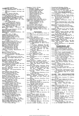Computer Code, 548 Nov.<br>Elements, Neon, 138 Mar.<br>Elements, Superconductive, 232 May, 547<br>Nov. High-speed Correlation, 446 Sept., 595 Nigh-speed Correlation, 446 Sept., 595<br>
Dec. This peed Correlation, 446 Sept., 595<br>
Copper Foil, Adhesive, 296 June<br>
Counter, Remote Preset, 548 Nov.<br>
Counting Measurements, Repeated, 446 Sept.<br>
Counting Measurements, Repe Empucas Demandia, Iradiated-Polythene, 332<br>
Encapsilation, Iradiated-Polythene, 332<br>
Facepsility V.H.F., 137 Mar.<br>
Ferroelectric Ceramics, 296 June<br>
Flip-Flop, Single-Pentode, 79 Feb.<br>
Unction Generator Tube, 397 Aug.<br>
Hor Nov. Nov.<br>Mercury Switch, 548 Nov.<br>Microwave Ferrites, 331 July<br>—— Multiplication, Travelling.Wave,<br>—— Multiplication, Travelling.Wave, 502 Oct.<br>Pulse Power Measurement, 398 Aug.  $501$ Millimetre Wavelength Measurement, Mudulation, Frequency Shift, 595 Dec.<br>
Mudulation, Frequency Shift, 595 Dec.<br>
Mudtiplex Indication System, 231 May<br>
Noise Filter, Optical, 502 Oct.<br>
Oven, Temperature Compensation, 296 June<br>
Paralysis Circuits, 445 Sept.<br> Oct. Pill, Radio, 296 June<br>
Prichaimeter, Non-Linear-Function, 501<br>
Oct. Note<br>
Printed Matrix Store, 232 May<br>
R.F. Absorption Matting, 231 May<br>
Radio Matrix Store, 232 May<br>
Radio Matrix Store, 328 Mar.<br>
Record, 84 r.p.m., 596 D

- Transistor, V.H.F., 179 Apr.<br>
 Batteries, 180 Apr.<br>
 Biological Amplifiers, 40 Jan.<br>
 Crystal Oscillator, 232 May<br>
 Decade Counter, 41 Jan.<br>
 Nilowatt Pulse, 295 June<br>
—, Nilowatt Pulse, 295 June<br>
—, Suitching, 595 Dc
- Feb.

- **TELEVISION**<br>Amateurs and TV Interference (News) 54 B.B.C. Colour Tests, Second Series (News) 567
- 
- 
- 
- 
- 
- 
- 
- 
- 
- 
- 
- Electroluminescence, D. W. G. Ballentyne,
- 128 Mar.<br>
Trame Pulse Separator, H. D. Kitchin,
- 554 Nov.
- 
- 
- Franch Television, "Diallist," 12. Internal<br>
French Television, "Diallist," 148 Mar.<br>
Horizontal versus Vertical Resolution, L. C.<br>
Josty, 304 July; (Letter) 430 Sept.<br>
I.T.A. Black Hill Station Opened (News)<br>
408 Sept.<br>
	-
- 
- 
- 119 Mar.<br>
Sea Reflections, Television, J. K. S.<br>
Jowett, 262 June<br>
Line. Scan Ringing, Overcoming, K. G.<br>
Line. Scan Ringing, Overcoming, K. G.<br>
Beauchamp, 441 Sept.; (Letter) 593<br>
Dec Long-distance Television Reception (News)
- Monitoring Sound on Picture Tube, J. R.
- 
- 
- 
- 
- Monitoring Sound on Picture Tube, J. R.<br>
Greenwood, 140 Mar.<br>
Greenwood, 140 Mar.<br>
Thermational Colour TV Symposium,<br>
354 Aug.; (Letter) 487 Oct.<br>
Picture Height (Letter) 430 Sept.<br>
Projection Television (Letters) 430 Sept
- 
- 
- 
- 
- 
- 
- School Television: Approved Receivers, 182<br>
Apr. Apr. Bouthern I.T.A. Station, 280 June<br>
Southern I.T.A. Station, 280 June<br>
Spot Wobble, Synchronous, 254 June<br>
Subjective Colour for Television? C. E. M.<br>
Hansel, 508 Oct.<br>
- 

Transatlantic Television, 28 Jan. Twenty-one Years (*Editorial*) 565 Dec.<br>Twenty-one Years (*Editorial*) 565 Dec.<br>Tubeless Colour Television? 2 Jan.<br>X-radiation from TV Sets (*Letter*) 594 Dec.

- TEST AND MEASUREMENT
- 
- 
- **TEST AND MEASUREMENT**<br>
Eridge, Component Testing, C. D. Lindsay,<br>
549 Nov.<br>
Cascode Characteristics, W. Grant, 33 Jan.<br>
D.C. Null Detector, Sensitive, Francis Oakes<br>
and E. W. Lawson, 597 Dec.<br>
F.M. Discriminator Bandwidt
- Feb.
- International Instrument Show, List of Ex-<br>hibitors (News) 104 Mar.; Review 223 May
- 
- Measuring and Test Gear, 321 July<br>Nomogram, Resistance-Current-Voltage-<br>Power, B. E. Jackson, 18 Jan.; (Letter) 82 Feb.
- Form 1. B. J., J., J., H. B. Dent, 121 Marson, 1934.<br>
Oscillator, Grid-Dip, H. B. Dent, 121 Marson, 182 Feb.<br>
Oscilloscope, D.C. Calibrated, B. Pearce,<br>
539 Nov.<br>
France Measurement, Sqn. Ldr.<br>
France Measurement, Sqn. Ldr
- 
- 
- 
- 
- 
- 
- 181 Apr.

- 
- 
- **TRANSMISSION AND<br>COMMUNICATIONS**<br>B.B.C. V.H.F. Stations (*News*) 54 Feb.<br>Clyde Ship-to-Shore Telephone, 255 June<br>Communication by Induction (*Editorial*) 515
- Communication by Induction (Editorial) 515<br>Information Theory and Broadcasting (Edit-<br>Information Theory and Broadcasting (Edit-<br>Interference Suppression: Advisory Commit-<br>tee on I.S.M. (News) 54 Feb.<br>Mobile Eadito Interc
- 
- 
- 
- 
- 
- 583 Dec.<br>Satellites, Artificial Earth, 574 Dec.<br>"Scatter" Frequencies Allocated by F.C.C.<br>(News) 567 Dec.<br>Southern I.T.A. Station, 280 June<br>Television Coverage (Letters) 273 June, 347<br>Television Coverage (Letters) 273 June
- 
- 
- Television Coverage (Letters) 210 July<br>V.H.F. Broadcasting, High-Quality Sound,<br>G. H.Russell, 31 Jan.; (Letter) 177 Apr.<br>—— Radio, Maritime, Capt. F. J. Wylie,<br>175 Apr.
- 
- **VALVES AND SEMICONDUCTORS**<br>C.R. Tubes and Photoelectric Devices, 283 Gated-Beam Valve, Lawrence W. Jolmson,

- Gated-Beam Valve, Lawrence W. Johnson,<br>23 Jan.<br>Milestones in Radio (*Editorial*) 51 Feb.<br>Monopolies Report on Valves and C.R. Tubes<br>(*News*) 105 Mar.<br>Potential, "Cathode Ray," 393 Aug.<br>7. More About, "Cathode Ray," 431
- Sept.
- 
- 
- Sipple-beam Colour Tube, 2 Jan.<br>
Symbols, Semiconductor, P. M. Thompson<br>
and J. Bateson, 525 Nov.<br>
mand J. Bateson, 525 Nov.<br>
488 Oct.<br>
Thermionic Cathodes, Modern, R. W. Fane,<br>
Transistor Audio Amplifiers, High-Power,<br>
52
- 11ansson 21and 11ansson<br>
52 Feb.<br>
Circuit Symbols, E. H. Cooke-Yar-<br>
borough, 333 July<br>
-- Graphical Symbols, "Cathode Ray,"<br>
194 Apr.<br>
283 May, 273 June<br>
Nalves and C.R. Tube Trading Restrictions<br>
283 May, 273 June<br>
The C
- 
- 
- 
- 
-